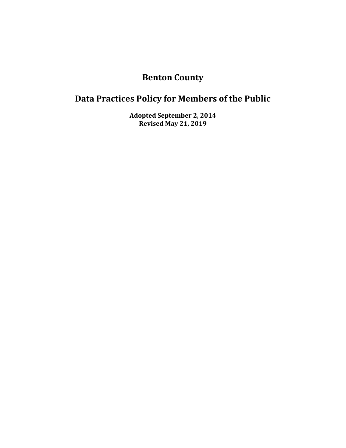# **Benton County**

# **Data Practices Policy for Members of the Public**

**Adopted September 2, 2014 Revised May 21, 2019**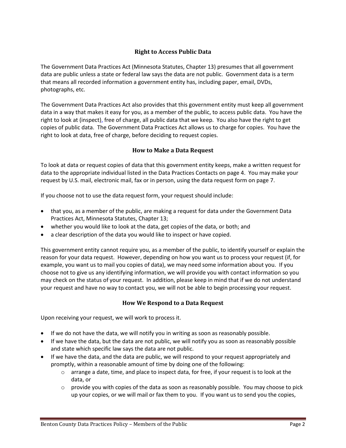# **Right to Access Public Data**

The Government Data Practices Act (Minnesota Statutes, Chapter 13) presumes that all government data are public unless a state or federal law says the data are not public. Government data is a term that means all recorded information a government entity has, including paper, email, DVDs, photographs, etc.

The Government Data Practices Act also provides that this government entity must keep all government data in a way that makes it easy for you, as a member of the public, to access public data. You have the right to look at (inspect), free of charge, all public data that we keep. You also have the right to get copies of public data. The Government Data Practices Act allows us to charge for copies. You have the right to look at data, free of charge, before deciding to request copies.

# **How to Make a Data Request**

To look at data or request copies of data that this government entity keeps, make a written request for data to the appropriate individual listed in the Data Practices Contacts on page 4. You may make your request by U.S. mail, electronic mail, fax or in person, using the data request form on page 7.

If you choose not to use the data request form, your request should include:

- that you, as a member of the public, are making a request for data under the Government Data Practices Act, Minnesota Statutes, Chapter 13;
- whether you would like to look at the data, get copies of the data, or both; and
- a clear description of the data you would like to inspect or have copied.

This government entity cannot require you, as a member of the public, to identify yourself or explain the reason for your data request. However, depending on how you want us to process your request (if, for example, you want us to mail you copies of data), we may need some information about you. If you choose not to give us any identifying information, we will provide you with contact information so you may check on the status of your request. In addition, please keep in mind that if we do not understand your request and have no way to contact you, we will not be able to begin processing your request.

# **How We Respond to a Data Request**

Upon receiving your request, we will work to process it.

- If we do not have the data, we will notify you in writing as soon as reasonably possible.
- If we have the data, but the data are not public, we will notify you as soon as reasonably possible and state which specific law says the data are not public.
- If we have the data, and the data are public, we will respond to your request appropriately and promptly, within a reasonable amount of time by doing one of the following:
	- $\circ$  arrange a date, time, and place to inspect data, for free, if your request is to look at the data, or
	- $\circ$  provide you with copies of the data as soon as reasonably possible. You may choose to pick up your copies, or we will mail or fax them to you. If you want us to send you the copies,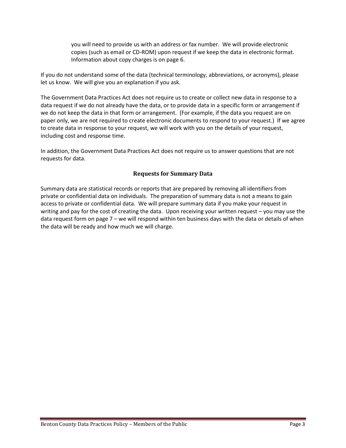you will need to provide us with an address or fax number. We will provide electronic copies (such as email or CD-ROM) upon request if we keep the data in electronic format. Information about copy charges is on page 6.

If you do not understand some of the data (technical terminology, abbreviations, or acronyms), please let us know. We will give you an explanation if you ask.

The Government Data Practices Act does not require us to create or collect new data in response to a data request if we do not already have the data, or to provide data in a specific form or arrangement if we do not keep the data in that form or arrangement. (For example, if the data you request are on paper only, we are not required to create electronic documents to respond to your request.) If we agree to create data in response to your request, we will work with you on the details of your request, including cost and response time.

In addition, the Government Data Practices Act does not require us to answer questions that are not requests for data.

# **Requests for Summary Data**

Summary data are statistical records or reports that are prepared by removing all identifiers from private or confidential data on individuals. The preparation of summary data is not a means to gain access to private or confidential data. We will prepare summary data if you make your request in writing and pay for the cost of creating the data. Upon receiving your written request – you may use the data request form on page 7 – we will respond within ten business days with the data or details of when the data will be ready and how much we will charge.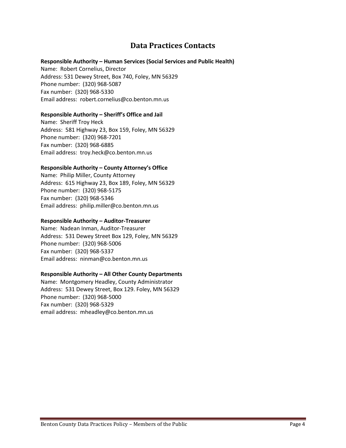# **Data Practices Contacts**

### **Responsible Authority – Human Services (Social Services and Public Health)**

Name: Robert Cornelius, Director Address: 531 Dewey Street, Box 740, Foley, MN 56329 Phone number: (320) 968-5087 Fax number: (320) 968-5330 Email address: robert.cornelius@co.benton.mn.us

### **Responsible Authority – Sheriff's Office and Jail**

Name: Sheriff Troy Heck Address: 581 Highway 23, Box 159, Foley, MN 56329 Phone number: (320) 968-7201 Fax number: (320) 968-6885 Email address: troy.heck@co.benton.mn.us

# **Responsible Authority – County Attorney's Office**

Name: Philip Miller, County Attorney Address: 615 Highway 23, Box 189, Foley, MN 56329 Phone number: (320) 968-5175 Fax number: (320) 968-5346 Email address: philip.miller@co.benton.mn.us

### **Responsible Authority – Auditor-Treasurer**

Name: Nadean Inman, Auditor-Treasurer Address: 531 Dewey Street Box 129, Foley, MN 56329 Phone number: (320) 968-5006 Fax number: (320) 968-5337 Email address: ninman@co.benton.mn.us

### **Responsible Authority – All Other County Departments**

Name: Montgomery Headley, County Administrator Address: 531 Dewey Street, Box 129. Foley, MN 56329 Phone number: (320) 968-5000 Fax number: (320) 968-5329 email address: mheadley@co.benton.mn.us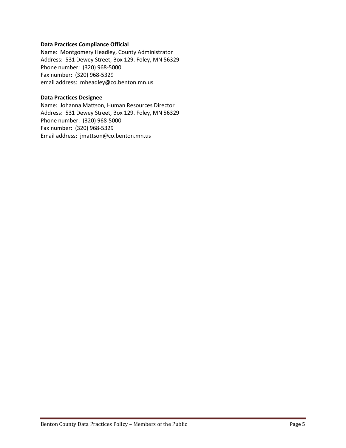#### **Data Practices Compliance Official**

Name: Montgomery Headley, County Administrator Address: 531 Dewey Street, Box 129. Foley, MN 56329 Phone number: (320) 968-5000 Fax number: (320) 968-5329 email address: mheadley@co.benton.mn.us

# **Data Practices Designee**

Name: Johanna Mattson, Human Resources Director Address: 531 Dewey Street, Box 129. Foley, MN 56329 Phone number: (320) 968-5000 Fax number: (320) 968-5329 Email address: jmattson@co.benton.mn.us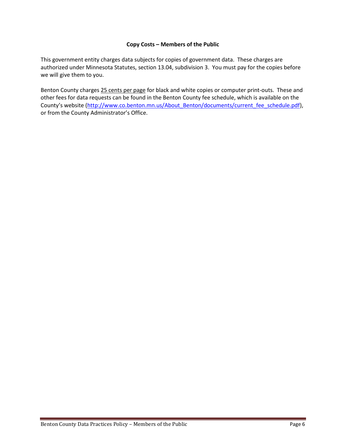### **Copy Costs – Members of the Public**

This government entity charges data subjects for copies of government data. These charges are authorized under Minnesota Statutes, section 13.04, subdivision 3. You must pay for the copies before we will give them to you.

Benton County charges 25 cents per page for black and white copies or computer print-outs. These and other fees for data requests can be found in the Benton County fee schedule, which is available on the County's website ([http://www.co.benton.mn.us/About\\_Benton/documents/current\\_fee\\_schedule.pdf\)](http://www.co.benton.mn.us/About_Benton/documents/current_fee_schedule.pdf), or from the County Administrator's Office.